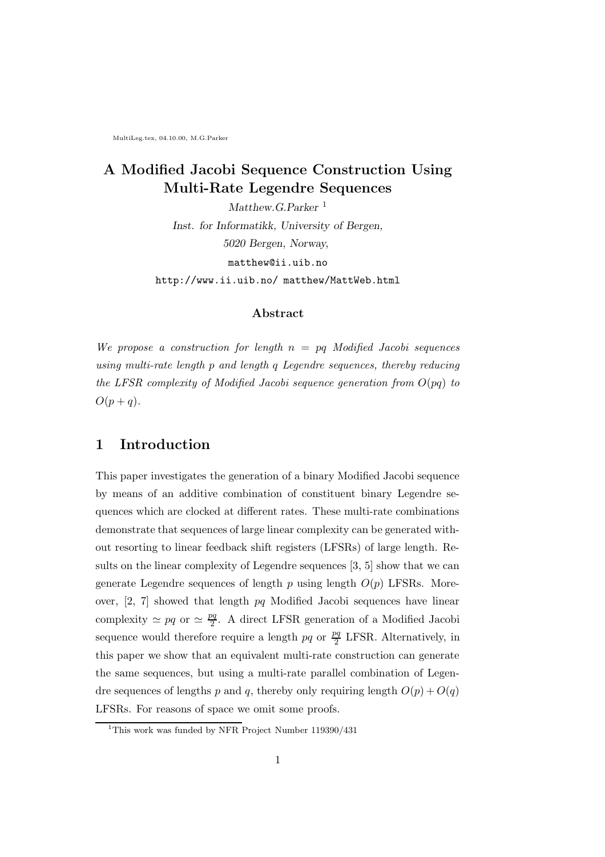MultiLeg.tex, 04.10.00, M.G.Parker

## A Modified Jacobi Sequence Construction Using Multi-Rate Legendre Sequences

Matthew.G.Parker<sup>1</sup> Inst. for Informatikk, University of Bergen, 5020 Bergen, Norway, matthew@ii.uib.no http://www.ii.uib.no/ matthew/MattWeb.html

#### Abstract

We propose a construction for length  $n = pq$  Modified Jacobi sequences using multi-rate length p and length q Legendre sequences, thereby reducing the LFSR complexity of Modified Jacobi sequence generation from  $O(pq)$  to  $O(p+q)$ .

### 1 Introduction

This paper investigates the generation of a binary Modified Jacobi sequence by means of an additive combination of constituent binary Legendre sequences which are clocked at different rates. These multi-rate combinations demonstrate that sequences of large linear complexity can be generated without resorting to linear feedback shift registers (LFSRs) of large length. Results on the linear complexity of Legendre sequences [3, 5] show that we can generate Legendre sequences of length  $p$  using length  $O(p)$  LFSRs. Moreover, [2, 7] showed that length pq Modified Jacobi sequences have linear complexity  $\simeq pq$  or  $\simeq \frac{pq}{2}$ . A direct LFSR generation of a Modified Jacobi sequence would therefore require a length  $pq$  or  $\frac{pq}{2}$  LFSR. Alternatively, in this paper we show that an equivalent multi-rate construction can generate the same sequences, but using a multi-rate parallel combination of Legendre sequences of lengths p and q, thereby only requiring length  $O(p) + O(q)$ LFSRs. For reasons of space we omit some proofs.

<sup>&</sup>lt;sup>1</sup>This work was funded by NFR Project Number 119390/431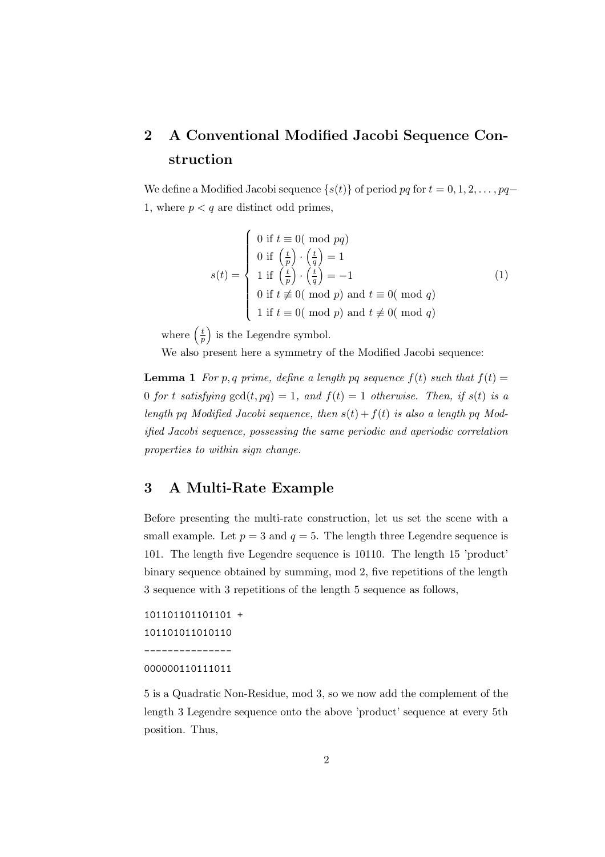# 2 A Conventional Modified Jacobi Sequence Construction

We define a Modified Jacobi sequence  $\{s(t)\}\$  of period pq for  $t = 0, 1, 2, \ldots, pq$ 1, where  $p < q$  are distinct odd primes,

$$
s(t) = \begin{cases} 0 \text{ if } t \equiv 0 \text{ ( mod } pq) \\ 0 \text{ if } \left(\frac{t}{p}\right) \cdot \left(\frac{t}{q}\right) = 1 \\ 1 \text{ if } \left(\frac{t}{p}\right) \cdot \left(\frac{t}{q}\right) = -1 \\ 0 \text{ if } t \not\equiv 0 \text{ ( mod } p \text{) and } t \equiv 0 \text{ ( mod } q) \\ 1 \text{ if } t \equiv 0 \text{ ( mod } p \text{) and } t \not\equiv 0 \text{ ( mod } q) \end{cases} \tag{1}
$$

where  $\left(\frac{t}{n}\right)$  $\left(\frac{t}{p}\right)$  is the Legendre symbol.

 $\overline{ }$ 

We also present here a symmetry of the Modified Jacobi sequence:

**Lemma 1** For p, q prime, define a length pq sequence  $f(t)$  such that  $f(t) =$ 0 for t satisfying  $gcd(t, pq) = 1$ , and  $f(t) = 1$  otherwise. Then, if  $s(t)$  is a length pq Modified Jacobi sequence, then  $s(t) + f(t)$  is also a length pq Modified Jacobi sequence, possessing the same periodic and aperiodic correlation properties to within sign change.

## 3 A Multi-Rate Example

Before presenting the multi-rate construction, let us set the scene with a small example. Let  $p = 3$  and  $q = 5$ . The length three Legendre sequence is 101. The length five Legendre sequence is 10110. The length 15 'product' binary sequence obtained by summing, mod 2, five repetitions of the length 3 sequence with 3 repetitions of the length 5 sequence as follows,

101101101101 + 101101011010110 ---------------

#### 000000110111011

5 is a Quadratic Non-Residue, mod 3, so we now add the complement of the length 3 Legendre sequence onto the above 'product' sequence at every 5th position. Thus,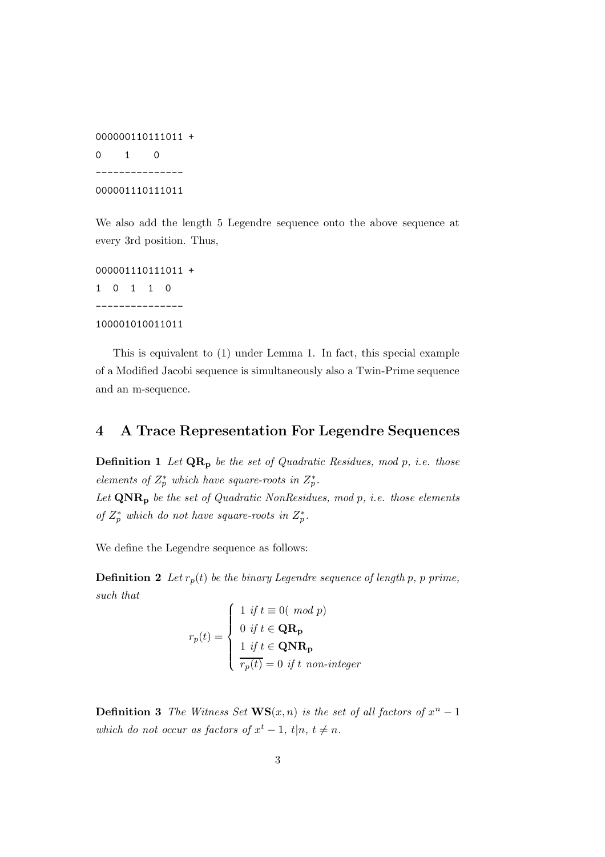000000110111011 +  $0 \quad 1 \quad 0$ --------------- 000001110111011

We also add the length 5 Legendre sequence onto the above sequence at every 3rd position. Thus,

000001110111011 + 1 0 1 1 0 --------------- 100001010011011

This is equivalent to (1) under Lemma 1. In fact, this special example of a Modified Jacobi sequence is simultaneously also a Twin-Prime sequence and an m-sequence.

## 4 A Trace Representation For Legendre Sequences

**Definition 1** Let  $QR_p$  be the set of Quadratic Residues, mod p, i.e. those elements of  $Z_p^*$  which have square-roots in  $Z_p^*$ . Let  $\mathbf{QNR}_p$  be the set of Quadratic NonResidues, mod p, i.e. those elements of  $Z_p^*$  which do not have square-roots in  $Z_p^*$ .

We define the Legendre sequence as follows:

**Definition 2** Let  $r_p(t)$  be the binary Legendre sequence of length p, p prime, such that

$$
r_p(t) = \begin{cases} 1 & \text{if } t \equiv 0 (\mod p) \\ 0 & \text{if } t \in \mathbf{QR_p} \\ 1 & \text{if } t \in \mathbf{QNR_p} \\ \overline{r_p(t)} = 0 & \text{if } t \text{ non-integer} \end{cases}
$$

**Definition 3** The Witness Set  $\mathbf{WS}(x,n)$  is the set of all factors of  $x^n - 1$ which do not occur as factors of  $x^t - 1$ ,  $t|n, t \neq n$ .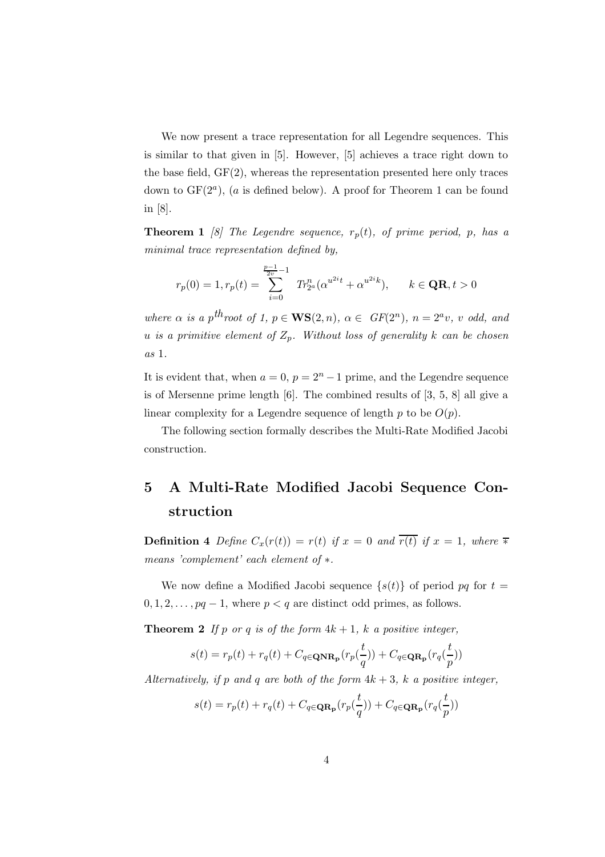We now present a trace representation for all Legendre sequences. This is similar to that given in [5]. However, [5] achieves a trace right down to the base field, GF(2), whereas the representation presented here only traces down to  $GF(2<sup>a</sup>)$ , (a is defined below). A proof for Theorem 1 can be found in [8].

**Theorem 1** [8] The Legendre sequence,  $r_p(t)$ , of prime period, p, has a minimal trace representation defined by,

$$
r_p(0)=1, r_p(t)=\sum_{i=0}^{\frac{p-1}{2v}-1} \ T r_{2^a}^n (\alpha^{u^{2i}t}+\alpha^{u^{2i}k}), \qquad k\in \mathbf{QR}, t>0
$$

where  $\alpha$  is a p<sup>th</sup>root of 1,  $p \in \mathbf{WS}(2,n)$ ,  $\alpha \in GF(2^n)$ ,  $n = 2^a v$ , v odd, and u is a primitive element of  $Z_p$ . Without loss of generality k can be chosen as 1.

It is evident that, when  $a = 0$ ,  $p = 2<sup>n</sup> - 1$  prime, and the Legendre sequence is of Mersenne prime length [6]. The combined results of [3, 5, 8] all give a linear complexity for a Legendre sequence of length p to be  $O(p)$ .

The following section formally describes the Multi-Rate Modified Jacobi construction.

# 5 A Multi-Rate Modified Jacobi Sequence Construction

**Definition 4** Define  $C_x(r(t)) = r(t)$  if  $x = 0$  and  $\overline{r(t)}$  if  $x = 1$ , where  $\overline{*}$ means 'complement' each element of  $*$ .

We now define a Modified Jacobi sequence  $\{s(t)\}\$  of period pq for  $t=$  $0, 1, 2, \ldots, pq-1$ , where  $p < q$  are distinct odd primes, as follows.

**Theorem 2** If p or q is of the form  $4k + 1$ , k a positive integer,

$$
s(t) = r_p(t) + r_q(t) + C_{q \in \mathbf{QNR_p}}(r_p(\frac{t}{q})) + C_{q \in \mathbf{QR_p}}(r_q(\frac{t}{p}))
$$

Alternatively, if p and q are both of the form  $4k + 3$ , k a positive integer,

$$
s(t) = r_p(t) + r_q(t) + C_{q \in \mathbf{QR_p}}(r_p(\frac{t}{q})) + C_{q \in \mathbf{QR_p}}(r_q(\frac{t}{p}))
$$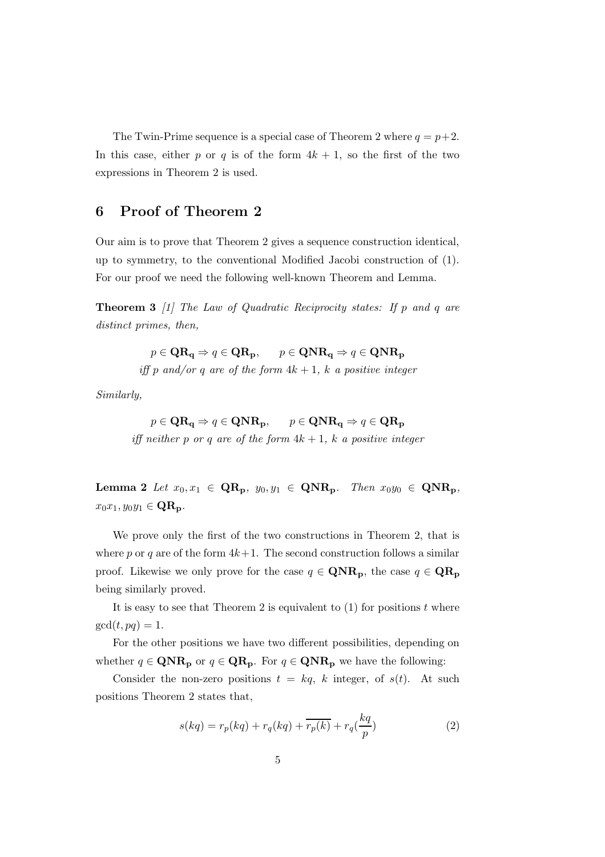The Twin-Prime sequence is a special case of Theorem 2 where  $q = p+2$ . In this case, either p or q is of the form  $4k + 1$ , so the first of the two expressions in Theorem 2 is used.

### 6 Proof of Theorem 2

Our aim is to prove that Theorem 2 gives a sequence construction identical, up to symmetry, to the conventional Modified Jacobi construction of (1). For our proof we need the following well-known Theorem and Lemma.

**Theorem 3** [1] The Law of Quadratic Reciprocity states: If p and q are distinct primes, then,

 $p \in \mathbf{QR}_{\mathbf{q}} \Rightarrow q \in \mathbf{QR}_{\mathbf{p}}, \qquad p \in \mathbf{QNR}_{\mathbf{q}} \Rightarrow q \in \mathbf{QNR}_{\mathbf{p}}$ 

iff p and/or q are of the form  $4k + 1$ , k a positive integer

Similarly,

 $p \in \mathbf{QR}_{\alpha} \Rightarrow q \in \mathbf{QNR}_{\mathbf{p}}, \qquad p \in \mathbf{QNR}_{\alpha} \Rightarrow q \in \mathbf{QR}_{\mathbf{p}}$ iff neither p or q are of the form  $4k + 1$ , k a positive integer

Lemma 2 Let  $x_0, x_1 \in \mathbf{QR_p}$ ,  $y_0, y_1 \in \mathbf{QNR_p}$ . Then  $x_0y_0 \in \mathbf{QNR_p}$ ,  $x_0x_1, y_0y_1 \in \mathbf{QR_p}.$ 

We prove only the first of the two constructions in Theorem 2, that is where p or q are of the form  $4k+1$ . The second construction follows a similar proof. Likewise we only prove for the case  $q \in \mathbf{QNR}_p$ , the case  $q \in \mathbf{QR}_p$ being similarly proved.

It is easy to see that Theorem 2 is equivalent to  $(1)$  for positions t where  $gcd(t, pq) = 1.$ 

For the other positions we have two different possibilities, depending on whether  $q \in \mathbf{QNR}_p$  or  $q \in \mathbf{QR}_p$ . For  $q \in \mathbf{QNR}_p$  we have the following:

Consider the non-zero positions  $t = kq$ , k integer, of  $s(t)$ . At such positions Theorem 2 states that,

$$
s(kq) = r_p(kq) + r_q(kq) + \overline{r_p(k)} + r_q(\frac{kq}{p})
$$
\n<sup>(2)</sup>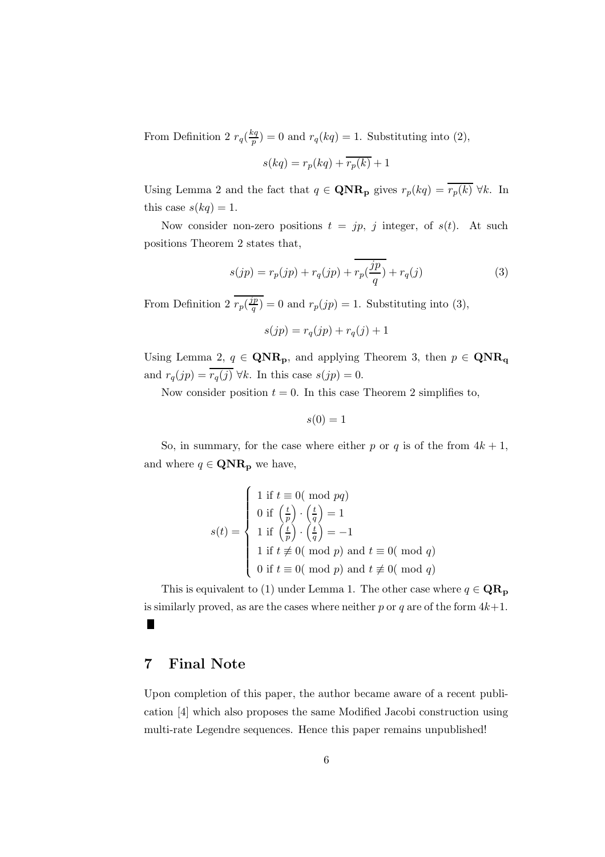From Definition 2  $r_q(\frac{kq}{p})$  $p_p^{\text{eq}}$ ) = 0 and  $r_q(kq)$  = 1. Substituting into (2),

$$
s(kq) = r_p(kq) + \overline{r_p(k)} + 1
$$

Using Lemma 2 and the fact that  $q \in \mathbf{QNR}_p$  gives  $r_p(kq) = \overline{r_p(k)} \,\forall k$ . In this case  $s(kq) = 1$ .

Now consider non-zero positions  $t = jp, j$  integer, of  $s(t)$ . At such positions Theorem 2 states that,

$$
s(jp) = r_p(jp) + r_q(jp) + \overline{r_p(\frac{jp}{q})} + r_q(j)
$$
 (3)

From Definition 2  $r_p(\frac{jp}{q})$  $q^{\prime p}(q) = 0$  and  $r_p(jp) = 1$ . Substituting into (3),

$$
s(jp) = r_q(jp) + r_q(j) + 1
$$

Using Lemma 2,  $q \in \mathbf{QNR}_p$ , and applying Theorem 3, then  $p \in \mathbf{QNR}_q$ and  $r_q(jp) = \overline{r_q(j)} \,\forall k$ . In this case  $s(jp) = 0$ .

Now consider position  $t = 0$ . In this case Theorem 2 simplifies to,

$$
s(0) = 1
$$

So, in summary, for the case where either p or q is of the from  $4k + 1$ , and where  $q \in \mathbf{QNR}_{\mathbf{p}}$  we have,

$$
s(t) = \begin{cases} 1 \text{ if } t \equiv 0 \text{ ( mod } pq) \\ 0 \text{ if } \left(\frac{t}{p}\right) \cdot \left(\frac{t}{q}\right) = 1 \\ 1 \text{ if } \left(\frac{t}{p}\right) \cdot \left(\frac{t}{q}\right) = -1 \\ 1 \text{ if } t \not\equiv 0 \text{ ( mod } p \text{) and } t \equiv 0 \text{ ( mod } q) \\ 0 \text{ if } t \equiv 0 \text{ ( mod } p \text{) and } t \not\equiv 0 \text{ ( mod } q) \end{cases}
$$

This is equivalent to (1) under Lemma 1. The other case where  $q \in \mathbf{QR}_{p}$ is similarly proved, as are the cases where neither p or q are of the form  $4k+1$ .  $\blacksquare$ 

## 7 Final Note

Upon completion of this paper, the author became aware of a recent publication [4] which also proposes the same Modified Jacobi construction using multi-rate Legendre sequences. Hence this paper remains unpublished!